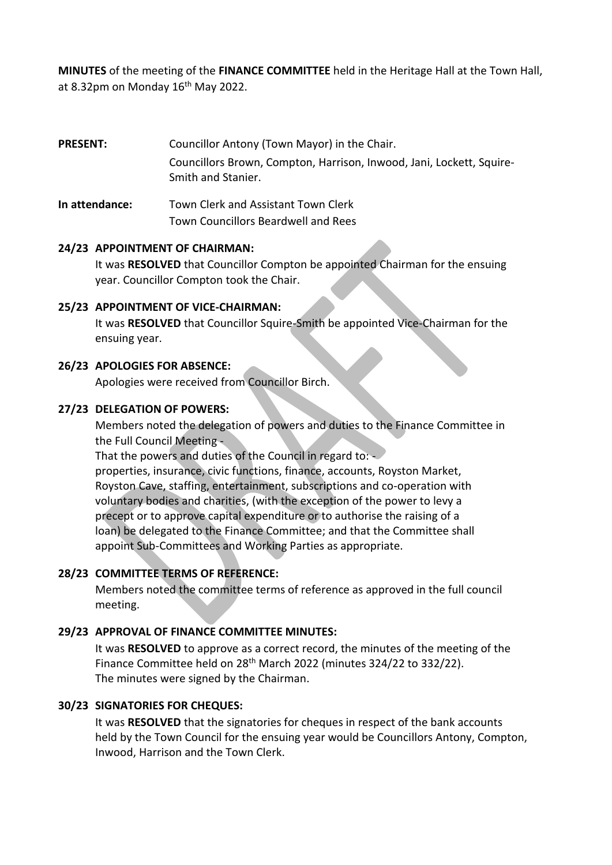**MINUTES** of the meeting of the **FINANCE COMMITTEE** held in the Heritage Hall at the Town Hall, at 8.32pm on Monday  $16<sup>th</sup>$  May 2022.

- **PRESENT:** Councillor Antony (Town Mayor) in the Chair. Councillors Brown, Compton, Harrison, Inwood, Jani, Lockett, Squire-Smith and Stanier.
- **In attendance:** Town Clerk and Assistant Town Clerk Town Councillors Beardwell and Rees

#### **24/23 APPOINTMENT OF CHAIRMAN:**

It was **RESOLVED** that Councillor Compton be appointed Chairman for the ensuing year. Councillor Compton took the Chair.

## **25/23 APPOINTMENT OF VICE-CHAIRMAN:**

It was **RESOLVED** that Councillor Squire-Smith be appointed Vice-Chairman for the ensuing year.

## **26/23 APOLOGIES FOR ABSENCE:**

Apologies were received from Councillor Birch.

## **27/23 DELEGATION OF POWERS:**

Members noted the delegation of powers and duties to the Finance Committee in the Full Council Meeting -

That the powers and duties of the Council in regard to: properties, insurance, civic functions, finance, accounts, Royston Market, Royston Cave, staffing, entertainment, subscriptions and co-operation with voluntary bodies and charities, (with the exception of the power to levy a precept or to approve capital expenditure or to authorise the raising of a loan) be delegated to the Finance Committee; and that the Committee shall appoint Sub-Committees and Working Parties as appropriate.

# **28/23 COMMITTEE TERMS OF REFERENCE:**

Members noted the committee terms of reference as approved in the full council meeting.

#### **29/23 APPROVAL OF FINANCE COMMITTEE MINUTES:**

It was **RESOLVED** to approve as a correct record, the minutes of the meeting of the Finance Committee held on 28th March 2022 (minutes 324/22 to 332/22). The minutes were signed by the Chairman.

# **30/23 SIGNATORIES FOR CHEQUES:**

It was **RESOLVED** that the signatories for cheques in respect of the bank accounts held by the Town Council for the ensuing year would be Councillors Antony, Compton, Inwood, Harrison and the Town Clerk.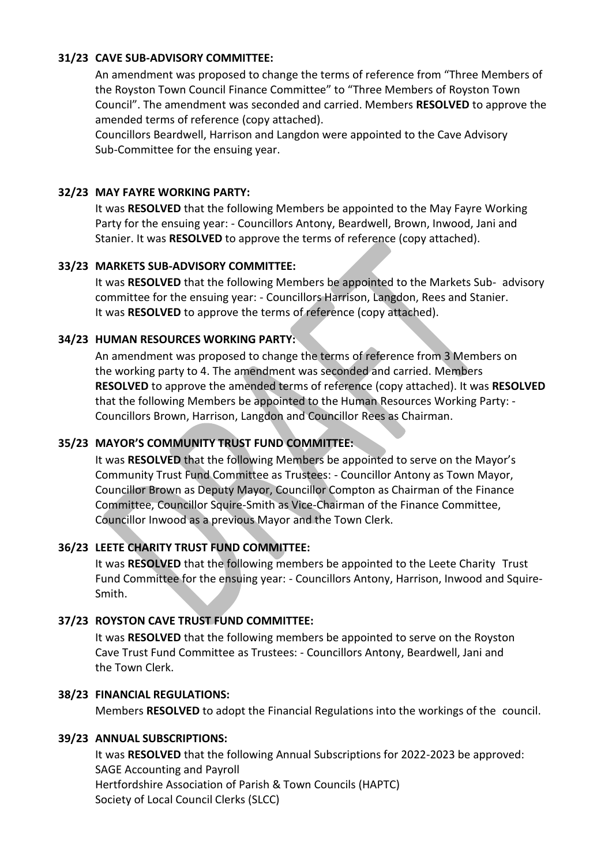## **31/23 CAVE SUB-ADVISORY COMMITTEE:**

An amendment was proposed to change the terms of reference from "Three Members of the Royston Town Council Finance Committee" to "Three Members of Royston Town Council". The amendment was seconded and carried. Members **RESOLVED** to approve the amended terms of reference (copy attached).

Councillors Beardwell, Harrison and Langdon were appointed to the Cave Advisory Sub-Committee for the ensuing year.

## **32/23 MAY FAYRE WORKING PARTY:**

It was **RESOLVED** that the following Members be appointed to the May Fayre Working Party for the ensuing year: - Councillors Antony, Beardwell, Brown, Inwood, Jani and Stanier. It was **RESOLVED** to approve the terms of reference (copy attached).

## **33/23 MARKETS SUB-ADVISORY COMMITTEE:**

It was **RESOLVED** that the following Members be appointed to the Markets Sub- advisory committee for the ensuing year: - Councillors Harrison, Langdon, Rees and Stanier. It was **RESOLVED** to approve the terms of reference (copy attached).

## **34/23 HUMAN RESOURCES WORKING PARTY:**

An amendment was proposed to change the terms of reference from 3 Members on the working party to 4. The amendment was seconded and carried. Members **RESOLVED** to approve the amended terms of reference (copy attached). It was **RESOLVED** that the following Members be appointed to the Human Resources Working Party: - Councillors Brown, Harrison, Langdon and Councillor Rees as Chairman.

# **35/23 MAYOR'S COMMUNITY TRUST FUND COMMITTEE:**

It was **RESOLVED** that the following Members be appointed to serve on the Mayor's Community Trust Fund Committee as Trustees: - Councillor Antony as Town Mayor, Councillor Brown as Deputy Mayor, Councillor Compton as Chairman of the Finance Committee, Councillor Squire-Smith as Vice-Chairman of the Finance Committee, Councillor Inwood as a previous Mayor and the Town Clerk.

# **36/23 LEETE CHARITY TRUST FUND COMMITTEE:**

It was **RESOLVED** that the following members be appointed to the Leete Charity Trust Fund Committee for the ensuing year: - Councillors Antony, Harrison, Inwood and Squire-Smith.

#### **37/23 ROYSTON CAVE TRUST FUND COMMITTEE:**

It was **RESOLVED** that the following members be appointed to serve on the Royston Cave Trust Fund Committee as Trustees: - Councillors Antony, Beardwell, Jani and the Town Clerk.

#### **38/23 FINANCIAL REGULATIONS:**

Members **RESOLVED** to adopt the Financial Regulations into the workings of the council.

#### **39/23 ANNUAL SUBSCRIPTIONS:**

It was **RESOLVED** that the following Annual Subscriptions for 2022-2023 be approved: SAGE Accounting and Payroll Hertfordshire Association of Parish & Town Councils (HAPTC) Society of Local Council Clerks (SLCC)